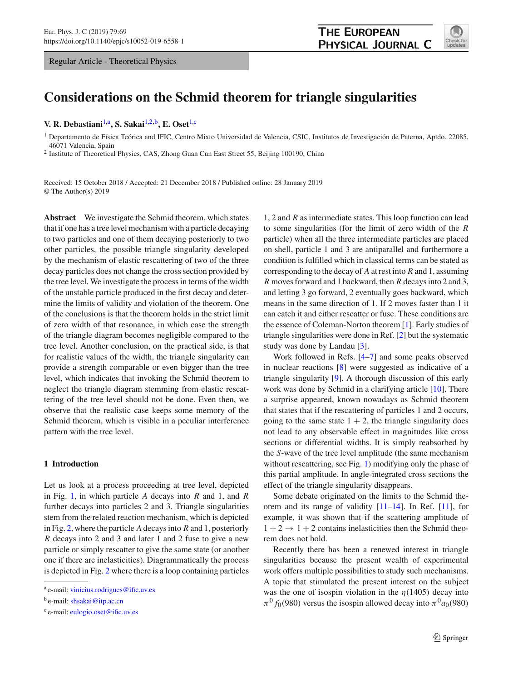Regular Article - Theoretical Physics



# **Considerations on the Schmid theorem for triangle singularities**

# **V. R. Debastiani**[1,](#page-0-0)a**, S. Sakai**[1,2,](#page-0-0)b**, E. Oset**[1,](#page-0-0)c

<span id="page-0-0"></span><sup>1</sup> Departamento de Física Teórica and IFIC, Centro Mixto Universidad de Valencia, CSIC, Institutos de Investigación de Paterna, Aptdo. 22085, 46071 Valencia, Spain

<sup>2</sup> Institute of Theoretical Physics, CAS, Zhong Guan Cun East Street 55, Beijing 100190, China

Received: 15 October 2018 / Accepted: 21 December 2018 / Published online: 28 January 2019 © The Author(s) 2019

**Abstract** We investigate the Schmid theorem, which states that if one has a tree level mechanism with a particle decaying to two particles and one of them decaying posteriorly to two other particles, the possible triangle singularity developed by the mechanism of elastic rescattering of two of the three decay particles does not change the cross section provided by the tree level. We investigate the process in terms of the width of the unstable particle produced in the first decay and determine the limits of validity and violation of the theorem. One of the conclusions is that the theorem holds in the strict limit of zero width of that resonance, in which case the strength of the triangle diagram becomes negligible compared to the tree level. Another conclusion, on the practical side, is that for realistic values of the width, the triangle singularity can provide a strength comparable or even bigger than the tree level, which indicates that invoking the Schmid theorem to neglect the triangle diagram stemming from elastic rescattering of the tree level should not be done. Even then, we observe that the realistic case keeps some memory of the Schmid theorem, which is visible in a peculiar interference pattern with the tree level.

# **1 Introduction**

Let us look at a process proceeding at tree level, depicted in Fig. [1,](#page-1-0) in which particle *A* decays into *R* and 1, and *R* further decays into particles 2 and 3. Triangle singularities stem from the related reaction mechanism, which is depicted in Fig. [2,](#page-1-1) where the particle *A* decays into *R* and 1, posteriorly *R* decays into 2 and 3 and later 1 and 2 fuse to give a new particle or simply rescatter to give the same state (or another one if there are inelasticities). Diagrammatically the process is depicted in Fig. [2](#page-1-1) where there is a loop containing particles

1, 2 and *R* as intermediate states. This loop function can lead to some singularities (for the limit of zero width of the *R* particle) when all the three intermediate particles are placed on shell, particle 1 and 3 are antiparallel and furthermore a condition is fulfilled which in classical terms can be stated as corresponding to the decay of *A* at rest into *R* and 1, assuming *R* moves forward and 1 backward, then *R* decays into 2 and 3, and letting 3 go forward, 2 eventually goes backward, which means in the same direction of 1. If 2 moves faster than 1 it can catch it and either rescatter or fuse. These conditions are the essence of Coleman-Norton theorem [\[1](#page-11-0)]. Early studies of triangle singularities were done in Ref. [\[2](#page-11-1)] but the systematic study was done by Landau [\[3](#page-11-2)].

Work followed in Refs. [\[4](#page-11-3)[–7](#page-12-0)] and some peaks observed in nuclear reactions [\[8](#page-12-1)] were suggested as indicative of a triangle singularity [\[9](#page-12-2)]. A thorough discussion of this early work was done by Schmid in a clarifying article [\[10\]](#page-12-3). There a surprise appeared, known nowadays as Schmid theorem that states that if the rescattering of particles 1 and 2 occurs, going to the same state  $1 + 2$ , the triangle singularity does not lead to any observable effect in magnitudes like cross sections or differential widths. It is simply reabsorbed by the *S*-wave of the tree level amplitude (the same mechanism without rescattering, see Fig. [1\)](#page-1-0) modifying only the phase of this partial amplitude. In angle-integrated cross sections the effect of the triangle singularity disappears.

Some debate originated on the limits to the Schmid theorem and its range of validity [\[11](#page-12-4)[–14](#page-12-5)]. In Ref. [\[11\]](#page-12-4), for example, it was shown that if the scattering amplitude of  $1 + 2 \rightarrow 1 + 2$  contains inelasticities then the Schmid theorem does not hold.

Recently there has been a renewed interest in triangle singularities because the present wealth of experimental work offers multiple possibilities to study such mechanisms. A topic that stimulated the present interest on the subject was the one of isospin violation in the  $\eta$ (1405) decay into  $\pi^{0} f_{0}(980)$  versus the isospin allowed decay into  $\pi^{0} a_{0}(980)$ 

<sup>a</sup> e-mail: [vinicius.rodrigues@ific.uv.es](mailto:vinicius.rodrigues@ific.uv.es)

b e-mail: [shsakai@itp.ac.cn](mailto:shsakai@itp.ac.cn)

<sup>c</sup> e-mail: [eulogio.oset@ific.uv.es](mailto:eulogio.oset@ific.uv.es)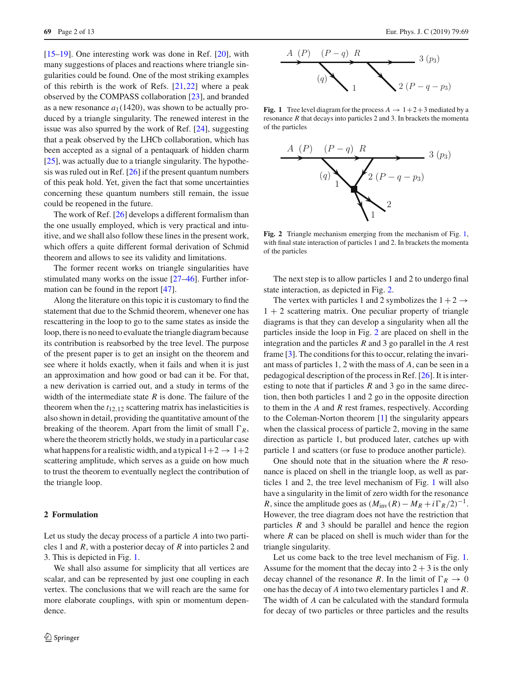[\[15](#page-12-6)[–19](#page-12-7)]. One interesting work was done in Ref. [\[20](#page-12-8)], with many suggestions of places and reactions where triangle singularities could be found. One of the most striking examples of this rebirth is the work of Refs. [\[21](#page-12-9),[22](#page-12-10)] where a peak observed by the COMPASS collaboration [\[23](#page-12-11)], and branded as a new resonance  $a_1(1420)$ , was shown to be actually produced by a triangle singularity. The renewed interest in the issue was also spurred by the work of Ref. [\[24\]](#page-12-12), suggesting that a peak observed by the LHCb collaboration, which has been accepted as a signal of a pentaquark of hidden charm [\[25](#page-12-13)], was actually due to a triangle singularity. The hypothesis was ruled out in Ref.  $[26]$  if the present quantum numbers of this peak hold. Yet, given the fact that some uncertainties concerning these quantum numbers still remain, the issue could be reopened in the future.

The work of Ref. [\[26](#page-12-14)] develops a different formalism than the one usually employed, which is very practical and intuitive, and we shall also follow these lines in the present work, which offers a quite different formal derivation of Schmid theorem and allows to see its validity and limitations.

The former recent works on triangle singularities have stimulated many works on the issue [\[27](#page-12-15)[–46\]](#page-12-16). Further information can be found in the report [\[47\]](#page-12-17).

Along the literature on this topic it is customary to find the statement that due to the Schmid theorem, whenever one has rescattering in the loop to go to the same states as inside the loop, there is no need to evaluate the triangle diagram because its contribution is reabsorbed by the tree level. The purpose of the present paper is to get an insight on the theorem and see where it holds exactly, when it fails and when it is just an approximation and how good or bad can it be. For that, a new derivation is carried out, and a study in terms of the width of the intermediate state *R* is done. The failure of the theorem when the  $t_{12,12}$  scattering matrix has inelasticities is also shown in detail, providing the quantitative amount of the breaking of the theorem. Apart from the limit of small  $\Gamma_R$ , where the theorem strictly holds, we study in a particular case what happens for a realistic width, and a typical  $1+2 \rightarrow 1+2$ scattering amplitude, which serves as a guide on how much to trust the theorem to eventually neglect the contribution of the triangle loop.

# **2 Formulation**

Let us study the decay process of a particle *A* into two particles 1 and *R*, with a posterior decay of *R* into particles 2 and 3. This is depicted in Fig. [1.](#page-1-0)

We shall also assume for simplicity that all vertices are scalar, and can be represented by just one coupling in each vertex. The conclusions that we will reach are the same for more elaborate couplings, with spin or momentum dependence.



<span id="page-1-0"></span>**Fig. 1** Tree level diagram for the process  $A \rightarrow 1+2+3$  mediated by a resonance *R* that decays into particles 2 and 3. In brackets the momenta of the particles



<span id="page-1-1"></span>**Fig. 2** Triangle mechanism emerging from the mechanism of Fig. [1,](#page-1-0) with final state interaction of particles 1 and 2. In brackets the momenta of the particles

The next step is to allow particles 1 and 2 to undergo final state interaction, as depicted in Fig. [2.](#page-1-1)

The vertex with particles 1 and 2 symbolizes the  $1+2 \rightarrow$  $1 + 2$  scattering matrix. One peculiar property of triangle diagrams is that they can develop a singularity when all the particles inside the loop in Fig. [2](#page-1-1) are placed on shell in the integration and the particles *R* and 3 go parallel in the *A* rest frame [\[3](#page-11-2)]. The conditions for this to occur, relating the invariant mass of particles 1, 2 with the mass of *A*, can be seen in a pedagogical description of the process in Ref. [\[26](#page-12-14)]. It is interesting to note that if particles *R* and 3 go in the same direction, then both particles 1 and 2 go in the opposite direction to them in the *A* and *R* rest frames, respectively. According to the Coleman-Norton theorem [\[1\]](#page-11-0) the singularity appears when the classical process of particle 2, moving in the same direction as particle 1, but produced later, catches up with particle 1 and scatters (or fuse to produce another particle).

One should note that in the situation where the *R* resonance is placed on shell in the triangle loop, as well as particles 1 and 2, the tree level mechanism of Fig. [1](#page-1-0) will also have a singularity in the limit of zero width for the resonance *R*, since the amplitude goes as  $(M_{\text{inv}}(R) - M_R + i\Gamma_R/2)^{-1}$ . However, the tree diagram does not have the restriction that particles *R* and 3 should be parallel and hence the region where *R* can be placed on shell is much wider than for the triangle singularity.

Let us come back to the tree level mechanism of Fig. [1.](#page-1-0) Assume for the moment that the decay into  $2 + 3$  is the only decay channel of the resonance *R*. In the limit of  $\Gamma_R \to 0$ one has the decay of *A* into two elementary particles 1 and *R*. The width of *A* can be calculated with the standard formula for decay of two particles or three particles and the results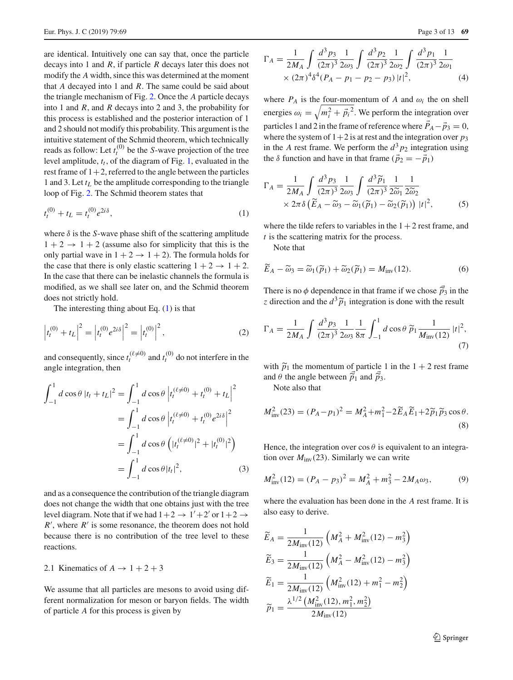are identical. Intuitively one can say that, once the particle decays into 1 and *R*, if particle *R* decays later this does not modify the *A* width, since this was determined at the moment that *A* decayed into 1 and *R*. The same could be said about the triangle mechanism of Fig. [2.](#page-1-1) Once the *A* particle decays into 1 and *R*, and *R* decays into 2 and 3, the probability for this process is established and the posterior interaction of 1 and 2 should not modify this probability. This argument is the intuitive statement of the Schmid theorem, which technically reads as follow: Let  $t_t^{(0)}$  be the *S*-wave projection of the tree level amplitude,  $t_t$ , of the diagram of Fig. [1,](#page-1-0) evaluated in the rest frame of  $1+2$ , referred to the angle between the particles 1 and 3. Let  $t_L$  be the amplitude corresponding to the triangle loop of Fig. [2.](#page-1-1) The Schmid theorem states that

$$
t_t^{(0)} + t_L = t_t^{(0)} e^{2i\delta}, \tag{1}
$$

where  $\delta$  is the *S*-wave phase shift of the scattering amplitude  $1 + 2 \rightarrow 1 + 2$  (assume also for simplicity that this is the only partial wave in  $1 + 2 \rightarrow 1 + 2$ ). The formula holds for the case that there is only elastic scattering  $1 + 2 \rightarrow 1 + 2$ . In the case that there can be inelastic channels the formula is modified, as we shall see later on, and the Schmid theorem does not strictly hold.

The interesting thing about Eq.  $(1)$  is that

$$
\left| t_t^{(0)} + t_L \right|^2 = \left| t_t^{(0)} e^{2i\delta} \right|^2 = \left| t_t^{(0)} \right|^2, \tag{2}
$$

and consequently, since  $t_t^{(\ell \neq 0)}$  and  $t_t^{(0)}$  do not interfere in the angle integration, then

$$
\int_{-1}^{1} d\cos\theta |t_t + t_L|^2 = \int_{-1}^{1} d\cos\theta |t_t^{(\ell \neq 0)} + t_t^{(0)} + t_L|^2
$$
  
= 
$$
\int_{-1}^{1} d\cos\theta |t_t^{(\ell \neq 0)} + t_t^{(0)} e^{2i\delta}|^2
$$
  
= 
$$
\int_{-1}^{1} d\cos\theta (|t_t^{(\ell \neq 0)}|^2 + |t_t^{(0)}|^2)
$$
  
= 
$$
\int_{-1}^{1} d\cos\theta |t_t|^2,
$$
 (3)

and as a consequence the contribution of the triangle diagram does not change the width that one obtains just with the tree level diagram. Note that if we had  $1+2 \rightarrow 1'+2'$  or  $1+2 \rightarrow$  $R'$ , where  $R'$  is some resonance, the theorem does not hold because there is no contribution of the tree level to these reactions.

# 2.1 Kinematics of  $A \rightarrow 1 + 2 + 3$

We assume that all particles are mesons to avoid using different normalization for meson or baryon fields. The width of particle *A* for this process is given by

$$
\Gamma_A = \frac{1}{2M_A} \int \frac{d^3 p_3}{(2\pi)^3} \frac{1}{2\omega_3} \int \frac{d^3 p_2}{(2\pi)^3} \frac{1}{2\omega_2} \int \frac{d^3 p_1}{(2\pi)^3} \frac{1}{2\omega_1} \times (2\pi)^4 \delta^4 (P_A - p_1 - p_2 - p_3) |t|^2,
$$
\n(4)

where  $P_A$  is the four-momentum of  $A$  and  $\omega_i$  the on shell energies  $\omega_i = \sqrt{m_i^2 + \vec{p_i}^2}$ . We perform the integration over particles 1 and 2 in the frame of reference where  $\vec{P}_A - \vec{p}_3 = 0$ , where the system of  $1+2$  is at rest and the integration over  $p_3$ in the *A* rest frame. We perform the  $d^3 p_2$  integration using the  $\delta$  function and have in that frame ( $\vec{p}_2 = -\vec{p}_1$ )

<span id="page-2-0"></span>
$$
\Gamma_A = \frac{1}{2M_A} \int \frac{d^3 p_3}{(2\pi)^3} \frac{1}{2\omega_3} \int \frac{d^3 \widetilde{p}_1}{(2\pi)^3} \frac{1}{2\widetilde{\omega}_1} \frac{1}{2\widetilde{\omega}_2} \times 2\pi \delta \left( \widetilde{E}_A - \widetilde{\omega}_3 - \widetilde{\omega}_1(\widetilde{p}_1) - \widetilde{\omega}_2(\widetilde{p}_1) \right) |t|^2, \tag{5}
$$

where the tilde refers to variables in the  $1+2$  rest frame, and *t* is the scattering matrix for the process.

Note that

$$
\widetilde{E}_A - \widetilde{\omega}_3 = \widetilde{\omega}_1(\widetilde{p}_1) + \widetilde{\omega}_2(\widetilde{p}_1) = M_{\text{inv}}(12). \tag{6}
$$

There is no  $\phi$  dependence in that frame if we chose  $\tilde{p}_3$  in the *z* direction and the  $d^3\tilde{p}_3$  integration is done with the result. *z* direction and the  $d^3\tilde{p}_1$  integration is done with the result

$$
\Gamma_A = \frac{1}{2M_A} \int \frac{d^3 p_3}{(2\pi)^3} \frac{1}{2\omega_3} \frac{1}{8\pi} \int_{-1}^1 d\cos\theta \, \tilde{p}_1 \frac{1}{M_{\text{inv}}(12)} |t|^2,
$$
\n(7)

with  $\tilde{p}_1$  the momentum of particle 1 in the  $1 + 2$  rest frame and  $\theta$  the angle between  $\tilde{p}_1$  and  $\tilde{p}_3$ .<br>Note also that

<span id="page-2-3"></span><span id="page-2-1"></span>Note also that

$$
M_{\text{inv}}^2(23) = (P_A - p_1)^2 = M_A^2 + m_1^2 - 2\widetilde{E}_A \widetilde{E}_1 + 2\widetilde{p}_1 \widetilde{p}_3 \cos \theta.
$$
\n(8)

Hence, the integration over  $\cos \theta$  is equivalent to an integration over  $M_{\text{inv}}(23)$ . Similarly we can write

<span id="page-2-4"></span><span id="page-2-2"></span>
$$
M_{\text{inv}}^2(12) = (P_A - p_3)^2 = M_A^2 + m_3^2 - 2M_A\omega_3,\tag{9}
$$

where the evaluation has been done in the *A* rest frame. It is also easy to derive.

$$
\widetilde{E}_A = \frac{1}{2M_{\text{inv}}(12)} \left( M_A^2 + M_{\text{inv}}^2 (12) - m_3^2 \right)
$$
\n
$$
\widetilde{E}_3 = \frac{1}{2M_{\text{inv}}(12)} \left( M_A^2 - M_{\text{inv}}^2 (12) - m_3^2 \right)
$$
\n
$$
\widetilde{E}_1 = \frac{1}{2M_{\text{inv}}(12)} \left( M_{\text{inv}}^2 (12) + m_1^2 - m_2^2 \right)
$$
\n
$$
\widetilde{p}_1 = \frac{\lambda^{1/2} \left( M_{\text{inv}}^2 (12), m_1^2, m_2^2 \right)}{2M_{\text{inv}}(12)}
$$

<sup>2</sup> Springer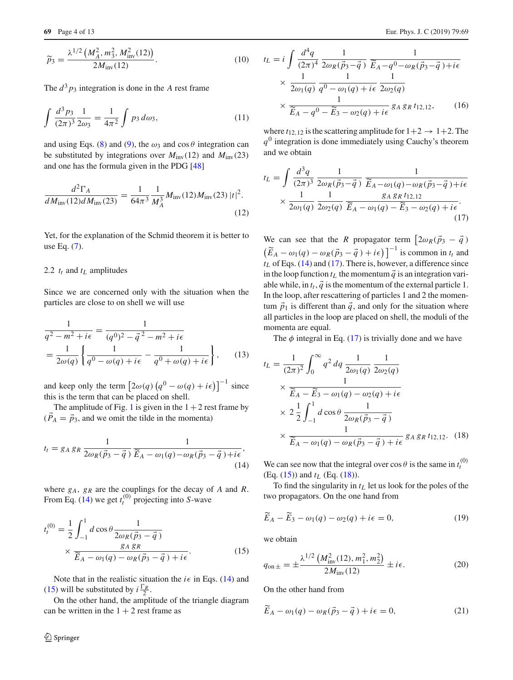$$
\widetilde{p}_3 = \frac{\lambda^{1/2} \left( M_A^2, m_3^2, M_{\text{inv}}^2(12) \right)}{2 M_{\text{inv}}(12)}.
$$
\n(10)

The  $d^3 p_3$  integration is done in the *A* rest frame

$$
\int \frac{d^3 p_3}{(2\pi)^3} \frac{1}{2\omega_3} = \frac{1}{4\pi^2} \int p_3 \, d\omega_3,\tag{11}
$$

and using Eqs. [\(8\)](#page-2-1) and [\(9\)](#page-2-2), the  $\omega_3$  and cos  $\theta$  integration can be substituted by integrations over  $M_{\text{inv}}(12)$  and  $M_{\text{inv}}(23)$ and one has the formula given in the PDG [\[48](#page-12-18)]

$$
\frac{d^2\Gamma_A}{dM_{\rm inv}(12)dM_{\rm inv}(23)} = \frac{1}{64\pi^3} \frac{1}{M_A^3} M_{\rm inv}(12) M_{\rm inv}(23) |t|^2. \tag{12}
$$

Yet, for the explanation of the Schmid theorem it is better to use Eq. [\(7\)](#page-2-3).

# 2.2  $t_t$  and  $t_L$  amplitudes

Since we are concerned only with the situation when the particles are close to on shell we will use

$$
\frac{1}{q^2 - m^2 + i\epsilon} = \frac{1}{(q^0)^2 - \vec{q}^2 - m^2 + i\epsilon} \n= \frac{1}{2\omega(q)} \left\{ \frac{1}{q^0 - \omega(q) + i\epsilon} - \frac{1}{q^0 + \omega(q) + i\epsilon} \right\},
$$
\n(13)

and keep only the term  $\left[2\omega(q)\left(q^0 - \omega(q) + i\epsilon\right)\right]^{-1}$  since this is the term that can be placed on shell.

The amplitude of Fig. [1](#page-1-0) is given in the  $1+2$  rest frame by  $(\vec{P}_A = \vec{p}_3)$ , and we omit the tilde in the momenta)

$$
t_t = g_A g_R \frac{1}{2\omega_R(\vec{p}_3 - \vec{q})} \frac{1}{\widetilde{E}_A - \omega_1(q) - \omega_R(\vec{p}_3 - \vec{q}) + i\epsilon},
$$
\n(14)

where  $g_A$ ,  $g_R$  are the couplings for the decay of *A* and *R*. From Eq. [\(14\)](#page-3-0) we get  $t_t^{(0)}$  projecting into *S*-wave

$$
t_t^{(0)} = \frac{1}{2} \int_{-1}^1 d\cos\theta \frac{1}{2\omega_R(\vec{p}_3 - \vec{q})}
$$
  
 
$$
\times \frac{g_A g_R}{\widetilde{E}_A - \omega_1(q) - \omega_R(\vec{p}_3 - \vec{q}) + i\epsilon}.
$$
 (15)

Note that in the realistic situation the  $i \in \mathbb{R}$  in Eqs. [\(14\)](#page-3-0) and [\(15\)](#page-3-1) will be substituted by  $i \frac{\Gamma_R}{2}$ .

On the other hand, the amplitude of the triangle diagram can be written in the  $1 + 2$  rest frame as

$$
t_L = i \int \frac{d^4q}{(2\pi)^4} \frac{1}{2\omega_R(\vec{p}_3 - \vec{q})} \frac{1}{\widetilde{E}_A - q^0 - \omega_R(\vec{p}_3 - \vec{q}) + i\epsilon}
$$
  
 
$$
\times \frac{1}{2\omega_1(q)} \frac{1}{q^0 - \omega_1(q) + i\epsilon} \frac{1}{2\omega_2(q)}
$$
  
 
$$
\times \frac{1}{\widetilde{E}_A - q^0 - \widetilde{E}_3 - \omega_2(q) + i\epsilon} g_A g_R t_{12,12}, \qquad (16)
$$

where  $t_{12,12}$  is the scattering amplitude for  $1+2 \rightarrow 1+2$ . The  $q<sup>0</sup>$  integration is done immediately using Cauchy's theorem and we obtain

$$
t_L = \int \frac{d^3q}{(2\pi)^3} \frac{1}{2\omega_R(\vec{p}_3 - \vec{q})} \frac{1}{\widetilde{E}_A - \omega_1(q) - \omega_R(\vec{p}_3 - \vec{q}) + i\epsilon}
$$
  
 
$$
\times \frac{1}{2\omega_1(q)} \frac{1}{2\omega_2(q)} \frac{g_A g_R t_{12,12}}{\widetilde{E}_A - \omega_1(q) - \widetilde{E}_3 - \omega_2(q) + i\epsilon}.
$$
 (17)

<span id="page-3-5"></span><span id="page-3-2"></span>We can see that the *R* propagator term  $\left[2\omega_R(\vec{p}_3 - \vec{q})\right]$  $\left(\widetilde{E}_A - \omega_1(q) - \omega_R(\vec{p}_3 - \vec{q}) + i\epsilon\right)\right]^{-1}$  is common in  $t_t$  and  $t_L$  of Eqs. [\(14\)](#page-3-0) and [\(17\)](#page-3-2). There is, however, a difference since in the loop function  $t_L$  the momentum  $\vec{q}$  is an integration variable while, in  $t_t$ ,  $\vec{q}$  is the momentum of the external particle 1. In the loop, after rescattering of particles 1 and 2 the momentum  $\vec{p}_1$  is different than  $\vec{q}$ , and only for the situation where all particles in the loop are placed on shell, the moduli of the momenta are equal.

The  $\phi$  integral in Eq. [\(17\)](#page-3-2) is trivially done and we have

$$
t_L = \frac{1}{(2\pi)^2} \int_0^\infty q^2 dq \frac{1}{2\omega_1(q)} \frac{1}{2\omega_2(q)}
$$
  
\n
$$
\times \frac{1}{\widetilde{E}_A - \widetilde{E}_3 - \omega_1(q) - \omega_2(q) + i\epsilon}
$$
  
\n
$$
\times 2 \frac{1}{2} \int_{-1}^1 d\cos\theta \frac{1}{2\omega_R(\vec{p}_3 - \vec{q})}
$$
  
\n
$$
\times \frac{1}{\widetilde{E}_A - \omega_1(q) - \omega_R(\vec{p}_3 - \vec{q}) + i\epsilon} g_A g_R t_{12,12}.
$$
 (18)

<span id="page-3-3"></span><span id="page-3-0"></span>We can see now that the integral over  $\cos \theta$  is the same in  $t_t^{(0)}$ (Eq.  $(15)$ ) and  $t_L$  (Eq.  $(18)$ ).

To find the singularity in  $t_L$  let us look for the poles of the two propagators. On the one hand from

$$
\widetilde{E}_A - \widetilde{E}_3 - \omega_1(q) - \omega_2(q) + i\epsilon = 0,\tag{19}
$$

<span id="page-3-4"></span><span id="page-3-1"></span>we obtain

$$
q_{\text{on}\,\pm} = \pm \frac{\lambda^{1/2} \left( M_{\text{inv}}^2(12), m_1^2, m_2^2 \right)}{2 M_{\text{inv}}(12)} \pm i\epsilon. \tag{20}
$$

On the other hand from

$$
\widetilde{E}_A - \omega_1(q) - \omega_R(\vec{p}_3 - \vec{q}) + i\epsilon = 0, \tag{21}
$$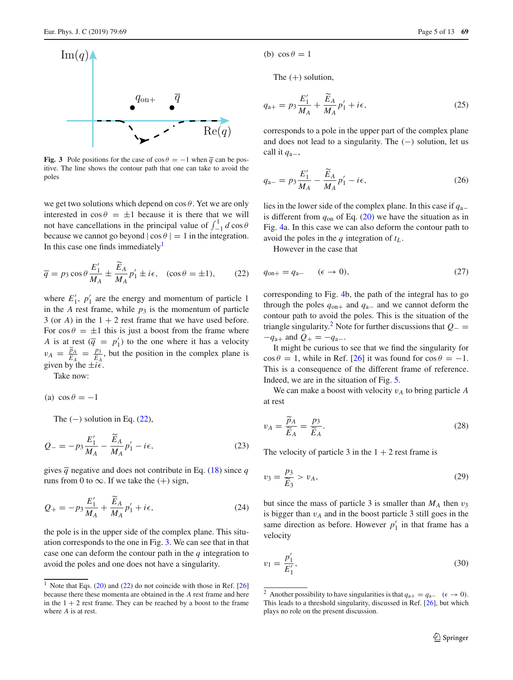

<span id="page-4-2"></span>**Fig. 3** Pole positions for the case of  $\cos \theta = -1$  when  $\overline{q}$  can be positive. The line shows the contour path that one can take to avoid the poles

we get two solutions which depend on  $\cos \theta$ . Yet we are only interested in  $\cos \theta = \pm 1$  because it is there that we will not have cancellations in the principal value of  $\int_{-1}^{1} d \cos \theta$ because we cannot go beyond  $|\cos \theta| = 1$  in the integration. In this case one finds immediately<sup>1</sup>

$$
\overline{q} = p_3 \cos \theta \frac{E'_1}{M_A} \pm \frac{\widetilde{E}_A}{M_A} p'_1 \pm i\epsilon, \quad (\cos \theta = \pm 1), \tag{22}
$$

where  $E'_1$ ,  $p'_1$  are the energy and momentum of particle 1 in the *A* rest frame, while  $p_3$  is the momentum of particle 3 (or *A*) in the  $1 + 2$  rest frame that we have used before. For  $\cos \theta = \pm 1$  this is just a boost from the frame where *A* is at rest  $(\overline{q} = p'_1)$  to the one where it has a velocity  $v_A = \frac{\widetilde{p}_A}{\widetilde{E}_A} = \frac{p_3}{\widetilde{E}_A}$ <br>given by the  $\pm i\epsilon$ , but the position in the complex plane is given by the  $\pm i\epsilon$ .

Take now:

(a)  $\cos \theta = -1$ 

<span id="page-4-4"></span>The  $(-)$  solution in Eq.  $(22)$ ,

$$
Q_{-} = -p_3 \frac{E'_1}{M_A} - \frac{\bar{E}_A}{M_A} p'_1 - i\epsilon,
$$
 (23)

gives  $\overline{q}$  negative and does not contribute in Eq. [\(18\)](#page-3-3) since *q* runs from 0 to  $\infty$ . If we take the (+) sign,

$$
Q_{+} = -p_3 \frac{E'_1}{M_A} + \frac{\widetilde{E}_A}{M_A} p'_1 + i\epsilon,
$$
 (24)

the pole is in the upper side of the complex plane. This situation corresponds to the one in Fig. [3.](#page-4-2) We can see that in that case one can deform the contour path in the *q* integration to avoid the poles and one does not have a singularity.

(b)  $\cos \theta = 1$ 

The  $(+)$  solution,

$$
q_{a+} = p_3 \frac{E'_1}{M_A} + \frac{\widetilde{E}_A}{M_A} p'_1 + i\epsilon,
$$
 (25)

corresponds to a pole in the upper part of the complex plane and does not lead to a singularity. The  $(-)$  solution, let us call it *q*a−,

$$
q_{a-} = p_3 \frac{E'_1}{M_A} - \frac{\widetilde{E}_A}{M_A} p'_1 - i\epsilon,
$$
 (26)

lies in the lower side of the complex plane. In this case if *q*a<sup>−</sup> is different from  $q_{on}$  of Eq. [\(20\)](#page-3-4) we have the situation as in Fig. [4a](#page-5-0). In this case we can also deform the contour path to avoid the poles in the *q* integration of *tL* .

<span id="page-4-6"></span>However in the case that

<span id="page-4-1"></span>
$$
q_{\text{on}+} = q_{\text{a}-} \quad (\epsilon \to 0), \tag{27}
$$

corresponding to Fig. [4b](#page-5-0), the path of the integral has to go through the poles *q*on<sup>+</sup> and *q*a<sup>−</sup> and we cannot deform the contour path to avoid the poles. This is the situation of the triangle singularity[.2](#page-4-3) Note for further discussions that *<sup>Q</sup>*<sup>−</sup> <sup>=</sup>  $-q_{a+}$  and  $Q_{+} = -q_{a-}$ .

It might be curious to see that we find the singularity for  $\cos \theta = 1$ , while in Ref. [\[26](#page-12-14)] it was found for  $\cos \theta = -1$ . This is a consequence of the different frame of reference. Indeed, we are in the situation of Fig. [5.](#page-5-1)

We can make a boost with velocity  $v_A$  to bring particle *A* at rest

$$
v_A = \frac{\widetilde{p}_A}{\widetilde{E}_A} = \frac{p_3}{\widetilde{E}_A}.\tag{28}
$$

The velocity of particle 3 in the  $1 + 2$  rest frame is

<span id="page-4-5"></span>
$$
v_3 = \frac{p_3}{\widetilde{E}_3} > v_A,\tag{29}
$$

but since the mass of particle 3 is smaller than  $M_A$  then  $v_3$ is bigger than  $v_A$  and in the boost particle 3 still goes in the same direction as before. However  $p'_1$  in that frame has a velocity

$$
v_1 = \frac{p'_1}{E'_1},\tag{30}
$$

<span id="page-4-0"></span><sup>&</sup>lt;sup>1</sup> Note that Eqs.  $(20)$  and  $(22)$  do not coincide with those in Ref. [\[26](#page-12-14)] because there these momenta are obtained in the *A* rest frame and here in the  $1 + 2$  rest frame. They can be reached by a boost to the frame where *A* is at rest.

<span id="page-4-3"></span><sup>&</sup>lt;sup>2</sup> Another possibility to have singularities is that  $q_{a+} = q_{a-}$  ( $\epsilon \to 0$ ). This leads to a threshold singularity, discussed in Ref. [\[26](#page-12-14)], but which plays no role on the present discussion.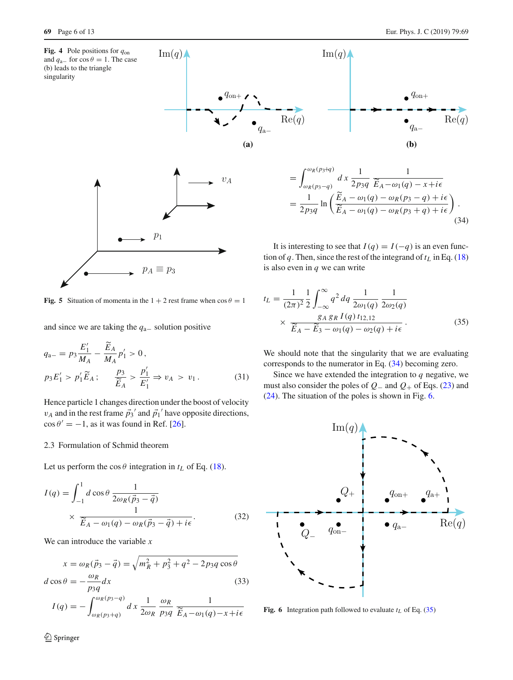

<span id="page-5-0"></span>

<span id="page-5-1"></span>**Fig. 5** Situation of momenta in the  $1 + 2$  rest frame when  $\cos \theta = 1$ 

and since we are taking the *q*a<sup>−</sup> solution positive

$$
q_{a-} = p_3 \frac{E'_1}{M_A} - \frac{\widetilde{E}_A}{M_A} p'_1 > 0, p_3 E'_1 > p'_1 \widetilde{E}_A ; \qquad \frac{p_3}{\widetilde{E}_A} > \frac{p'_1}{E'_1} \Rightarrow v_A > v_1.
$$
 (31)

Hence particle 1 changes direction under the boost of velocity  $v_A$  and in the rest frame  $\vec{p}_3$ <sup>'</sup> and  $\vec{p}_1$ <sup>'</sup> have opposite directions,  $\cos \theta' = -1$ , as it was found in Ref. [\[26](#page-12-14)].

# 2.3 Formulation of Schmid theorem

Let us perform the  $\cos \theta$  integration in  $t_L$  of Eq. [\(18\)](#page-3-3).

$$
I(q) = \int_{-1}^{1} d\cos\theta \frac{1}{2\omega_R(\vec{p}_3 - \vec{q})}
$$
  
 
$$
\times \frac{1}{\widetilde{E}_A - \omega_1(q) - \omega_R(\vec{p}_3 - \vec{q}) + i\epsilon}.
$$
 (32)

We can introduce the variable *x*

$$
x = \omega_R(\vec{p}_3 - \vec{q}) = \sqrt{m_R^2 + p_3^2 + q^2 - 2p_3q\cos\theta}
$$
  

$$
d\cos\theta = -\frac{\omega_R}{p_3q}dx
$$
 (33)

$$
I(q) = -\int_{\omega_R(p_3+q)}^{\omega_R(p_3-q)} dz \frac{1}{2\omega_R} \frac{\omega_R}{p_3q} \frac{1}{\widetilde{E}_A - \omega_1(q) - x + i\epsilon}
$$



<span id="page-5-2"></span>
$$
= \int_{\omega_R(p_3-q)}^{\omega_R(p_3+q)} d x \frac{1}{2p_3q} \frac{1}{\widetilde{E}_A - \omega_1(q) - x + i\epsilon}
$$
  
= 
$$
\frac{1}{2p_3q} \ln \left( \frac{\widetilde{E}_A - \omega_1(q) - \omega_R(p_3 - q) + i\epsilon}{\widetilde{E}_A - \omega_1(q) - \omega_R(p_3 + q) + i\epsilon} \right).
$$
(34)

It is interesting to see that  $I(q) = I(-q)$  is an even function of  $q$ . Then, since the rest of the integrand of  $t_L$  in Eq. [\(18\)](#page-3-3) is also even in *q* we can write

<span id="page-5-4"></span>
$$
t_L = \frac{1}{(2\pi)^2} \frac{1}{2} \int_{-\infty}^{\infty} q^2 dq \, \frac{1}{2\omega_1(q)} \frac{1}{2\omega_2(q)} \times \frac{g_A g_R I(q) t_{12,12}}{\widetilde{E}_A - \widetilde{E}_3 - \omega_1(q) - \omega_2(q) + i\epsilon}.
$$
\n(35)

We should note that the singularity that we are evaluating corresponds to the numerator in Eq. [\(34\)](#page-5-2) becoming zero.

Since we have extended the integration to  $q$  negative, we must also consider the poles of *Q*<sup>−</sup> and *Q*<sup>+</sup> of Eqs. [\(23\)](#page-4-4) and [\(24\)](#page-4-5). The situation of the poles is shown in Fig. [6.](#page-5-3)



<span id="page-5-5"></span><span id="page-5-3"></span>**Fig. 6** Integration path followed to evaluate  $t_L$  of Eq. [\(35\)](#page-5-4)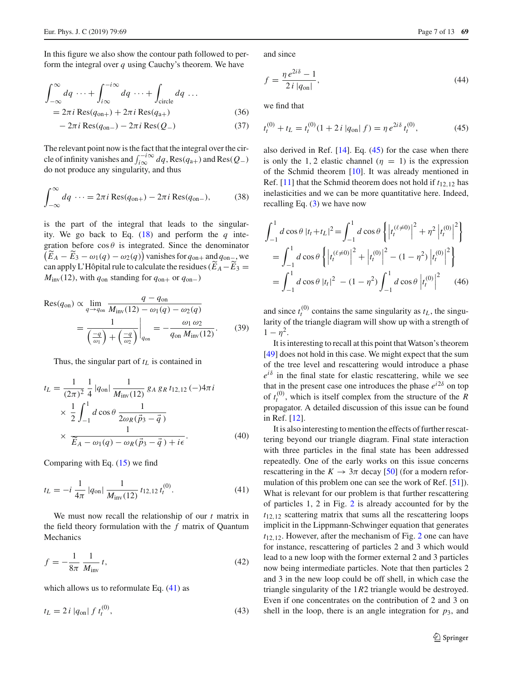In this figure we also show the contour path followed to perform the integral over *q* using Cauchy's theorem. We have

$$
\int_{-\infty}^{\infty} dq \cdots + \int_{i\infty}^{-i\infty} dq \cdots + \int_{\text{circle}} dq \cdots
$$
  
=  $2\pi i \text{Res}(q_{\text{on}+}) + 2\pi i \text{Res}(q_{\text{a}+})$  (36)

$$
-2\pi i \operatorname{Res}(q_{\text{on}-}) - 2\pi i \operatorname{Res}(Q_{-})
$$
\n(37)

The relevant point now is the fact that the integral over the circle of infinity vanishes and  $\int_{i\infty}^{-i\infty} dq$ , Res $(q_{a+})$  and Res $(Q_{-})$ do not produce any singularity, and thus

$$
\int_{-\infty}^{\infty} dq \cdots = 2\pi i \operatorname{Res}(q_{\text{on}+}) - 2\pi i \operatorname{Res}(q_{\text{on}-}),\tag{38}
$$

is the part of the integral that leads to the singularity. We go back to Eq. [\(18\)](#page-3-3) and perform the *q* integration before  $\cos \theta$  is integrated. Since the denominator  $(E_A - E_3 - \omega_1(q) - \omega_2(q))$  vanishes for  $q_{\text{on+}}$  and  $q_{\text{on-}}$ , we can apply L'Hôpital rule to calculate the residues  $(E_A - E_3) =$  $M_{\text{inv}}(12)$ , with  $q_{\text{on}}$  standing for  $q_{\text{on}+}$  or  $q_{\text{on}-}$ )

$$
Res(q_{on}) \propto \lim_{q \to q_{on}} \frac{q - q_{on}}{M_{\text{inv}}(12) - \omega_1(q) - \omega_2(q)} = \frac{1}{\left(\frac{-q}{\omega_1}\right) + \left(\frac{-q}{\omega_2}\right)} \bigg|_{q_{on}} = -\frac{\omega_1 \omega_2}{q_{on} M_{\text{inv}}(12)}.
$$
 (39)

Thus, the singular part of  $t_L$  is contained in

$$
t_L = \frac{1}{(2\pi)^2} \frac{1}{4} |q_{on}| \frac{1}{M_{\text{inv}}(12)} g_A g_R t_{12,12} (-) 4\pi i
$$
  
 
$$
\times \frac{1}{2} \int_{-1}^{1} d \cos \theta \frac{1}{2\omega_R (\vec{p}_3 - \vec{q})}
$$
  
 
$$
\times \frac{1}{\widetilde{E}_A - \omega_1(q) - \omega_R (\vec{p}_3 - \vec{q}) + i\epsilon}.
$$
 (40)

Comparing with Eq.  $(15)$  we find

$$
t_L = -i \frac{1}{4\pi} |q_{\text{on}}| \frac{1}{M_{\text{inv}}(12)} t_{12,12} t_l^{(0)}.
$$
 (41)

We must now recall the relationship of our *t* matrix in the field theory formulation with the *f* matrix of Quantum **Mechanics** 

$$
f = -\frac{1}{8\pi} \frac{1}{M_{\text{inv}}} t,\tag{42}
$$

which allows us to reformulate Eq.  $(41)$  as

$$
t_L = 2 i |q_{on}| f t_l^{(0)}, \t\t(43)
$$

and since

$$
f = \frac{\eta \, e^{2i\delta} - 1}{2i \, |q_{\text{on}}|},\tag{44}
$$

<span id="page-6-1"></span>we find that

$$
t_t^{(0)} + t_L = t_t^{(0)} (1 + 2 i |q_{\text{on}}| f) = \eta e^{2i\delta} t_t^{(0)}, \tag{45}
$$

also derived in Ref. [\[14\]](#page-12-5). Eq. [\(45\)](#page-6-1) for the case when there is only the 1, 2 elastic channel ( $\eta = 1$ ) is the expression of the Schmid theorem [\[10](#page-12-3)]. It was already mentioned in Ref. [\[11\]](#page-12-4) that the Schmid theorem does not hold if *t*12,<sup>12</sup> has inelasticities and we can be more quantitative here. Indeed, recalling Eq. [\(3\)](#page-2-4) we have now

$$
\int_{-1}^{1} d\cos\theta \, |t_t + t_L|^2 = \int_{-1}^{1} d\cos\theta \, \left\{ \left| t_t^{(\ell \neq 0)} \right|^2 + \eta^2 \left| t_t^{(0)} \right|^2 \right\} \n= \int_{-1}^{1} d\cos\theta \, \left\{ \left| t_t^{(\ell \neq 0)} \right|^2 + \left| t_t^{(0)} \right|^2 - (1 - \eta^2) \left| t_t^{(0)} \right|^2 \right\} \n= \int_{-1}^{1} d\cos\theta \, |t_t|^2 - (1 - \eta^2) \int_{-1}^{1} d\cos\theta \, \left| t_t^{(0)} \right|^2 \tag{46}
$$

<span id="page-6-2"></span>and since  $t_t^{(0)}$  contains the same singularity as  $t_L$ , the singularity of the triangle diagram will show up with a strength of  $1 - \eta^2$ .

It is interesting to recall at this point that Watson's theorem [\[49](#page-12-19)] does not hold in this case. We might expect that the sum of the tree level and rescattering would introduce a phase  $e^{i\delta}$  in the final state for elastic rescattering, while we see that in the present case one introduces the phase  $e^{i2\delta}$  on top of  $t_t^{(0)}$ , which is itself complex from the structure of the  $\tilde{R}$ propagator. A detailed discussion of this issue can be found in Ref. [\[12](#page-12-20)].

<span id="page-6-0"></span>It is also interesting to mention the effects of further rescattering beyond our triangle diagram. Final state interaction with three particles in the final state has been addressed repeatedly. One of the early works on this issue concerns rescattering in the  $K \to 3\pi$  decay [\[50\]](#page-12-21) (for a modern reformulation of this problem one can see the work of Ref. [\[51](#page-12-22)]). What is relevant for our problem is that further rescattering of particles 1, 2 in Fig. [2](#page-1-1) is already accounted for by the *t*12,<sup>12</sup> scattering matrix that sums all the rescattering loops implicit in the Lippmann-Schwinger equation that generates *t*12,12. However, after the mechanism of Fig. [2](#page-1-1) one can have for instance, rescattering of particles 2 and 3 which would lead to a new loop with the former external 2 and 3 particles now being intermediate particles. Note that then particles 2 and 3 in the new loop could be off shell, in which case the triangle singularity of the 1*R*2 triangle would be destroyed. Even if one concentrates on the contribution of 2 and 3 on shell in the loop, there is an angle integration for  $p_3$ , and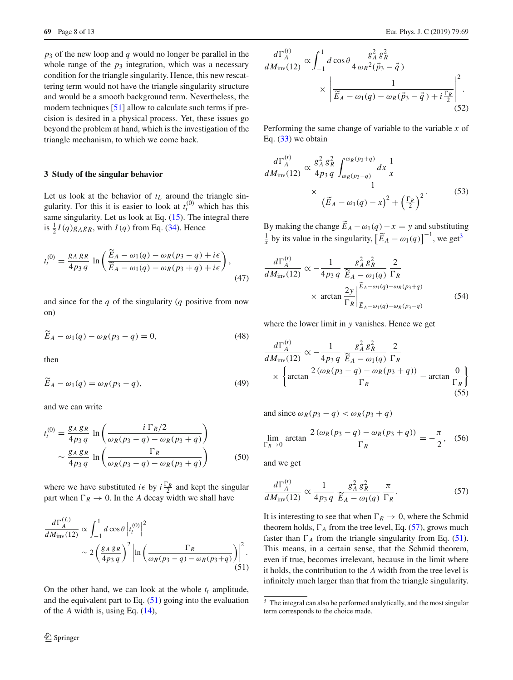*p*<sup>3</sup> of the new loop and *q* would no longer be parallel in the whole range of the  $p_3$  integration, which was a necessary condition for the triangle singularity. Hence, this new rescattering term would not have the triangle singularity structure and would be a smooth background term. Nevertheless, the modern techniques [\[51](#page-12-22)] allow to calculate such terms if precision is desired in a physical process. Yet, these issues go beyond the problem at hand, which is the investigation of the triangle mechanism, to which we come back.

### **3 Study of the singular behavior**

Let us look at the behavior of  $t_L$  around the triangle singularity. For this it is easier to look at  $t_t^{(0)}$  which has this same singularity. Let us look at Eq. [\(15\)](#page-3-1). The integral there is  $\frac{1}{2}I(q)g_Ag_R$ , with  $I(q)$  from Eq. [\(34\)](#page-5-2). Hence

$$
t_l^{(0)} = \frac{g_A g_R}{4p_3 q} \ln \left( \frac{\widetilde{E}_A - \omega_1(q) - \omega_R(p_3 - q) + i\epsilon}{\widetilde{E}_A - \omega_1(q) - \omega_R(p_3 + q) + i\epsilon} \right),\tag{47}
$$

and since for the *q* of the singularity (*q* positive from now on)

$$
\widetilde{E}_A - \omega_1(q) - \omega_R(p_3 - q) = 0,\tag{48}
$$

then

$$
\widetilde{E}_A - \omega_1(q) = \omega_R(p_3 - q),\tag{49}
$$

and we can write

$$
t_l^{(0)} = \frac{g_A g_R}{4p_3 q} \ln\left(\frac{i \Gamma_R/2}{\omega_R(p_3 - q) - \omega_R(p_3 + q)}\right)
$$
  
 
$$
\sim \frac{g_A g_R}{4p_3 q} \ln\left(\frac{\Gamma_R}{\omega_R(p_3 - q) - \omega_R(p_3 + q)}\right) \tag{50}
$$

where we have substituted  $i \in b$  by  $i \frac{\Gamma_R}{2}$  and kept the singular part when  $\Gamma_R \to 0$ . In the *A* decay width we shall have

$$
\frac{d\Gamma_A^{(L)}}{dM_{\text{inv}}(12)} \propto \int_{-1}^1 d\cos\theta \left| t_t^{(0)} \right|^2
$$
  
 
$$
\sim 2 \left( \frac{g_A g_R}{4p_3 q} \right)^2 \left| \ln \left( \frac{\Gamma_R}{\omega_R (p_3 - q) - \omega_R (p_3 + q)} \right) \right|^2.
$$
(51)

On the other hand, we can look at the whole  $t_t$  amplitude, and the equivalent part to Eq.  $(51)$  going into the evaluation of the *A* width is, using Eq. [\(14\)](#page-3-0),

$$
\frac{d\Gamma_A^{(t)}}{dM_{\text{inv}}(12)} \propto \int_{-1}^1 d\cos\theta \frac{g_A^2 g_R^2}{4\,\omega_R^2(\vec{p}_3 - \vec{q})} \times \left| \frac{1}{\widetilde{E}_A - \omega_1(q) - \omega_R(\vec{p}_3 - \vec{q}) + i\frac{\Gamma_R}{2}} \right|^2.
$$
\n(52)

Performing the same change of variable to the variable *x* of Eq.  $(33)$  we obtain

$$
\frac{d\Gamma_A^{(t)}}{dM_{\text{inv}}(12)} \propto \frac{g_A^2 g_R^2}{4p_3 q} \int_{\omega_R(p_3-q)}^{\omega_R(p_3+q)} dx \frac{1}{x} \times \frac{1}{\left(\widetilde{E}_A - \omega_1(q) - x\right)^2 + \left(\frac{\Gamma_R}{2}\right)^2}.
$$
(53)

By making the change  $E_A - \omega_1(q) - x = y$  and substituting  $\frac{1}{x}$  by its value in the singularity,  $\left[\widetilde{E}_A - \omega_1(q)\right]^{-1}$ , we get<sup>[3](#page-7-1)</sup>

$$
\frac{d\Gamma_A^{(t)}}{dM_{\text{inv}}(12)} \propto -\frac{1}{4p_3 q} \frac{g_A^2 g_R^2}{\widetilde{E}_A - \omega_1(q)} \frac{2}{\Gamma_R}
$$
\n
$$
\times \arctan \frac{2y}{\Gamma_R} \Big|_{\widetilde{E}_A - \omega_1(q) - \omega_R(p_3 - q)}^{\widetilde{E}_A - \omega_1(q) - \omega_R(p_3 + q)} \tag{54}
$$

where the lower limit in *y* vanishes. Hence we get

$$
\frac{d\Gamma_A^{(t)}}{dM_{\text{inv}}(12)} \propto -\frac{1}{4p_3 q} \frac{g_A^2 g_R^2}{\widetilde{E}_A - \omega_1(q)} \frac{2}{\Gamma_R}
$$
\n
$$
\times \left\{ \arctan \frac{2(\omega_R(p_3 - q) - \omega_R(p_3 + q))}{\Gamma_R} - \arctan \frac{0}{\Gamma_R} \right\}
$$
\n(55)

and since  $\omega_R(p_3 - q) < \omega_R(p_3 + q)$ 

$$
\lim_{\Gamma_R \to 0} \arctan \frac{2(\omega_R(p_3 - q) - \omega_R(p_3 + q))}{\Gamma_R} = -\frac{\pi}{2}, \quad (56)
$$

<span id="page-7-2"></span>and we get

$$
\frac{d\Gamma_A^{(t)}}{dM_{\rm inv}(12)} \propto \frac{1}{4p_3 q} \frac{g_A^2 g_R^2}{\widetilde{E}_A - \omega_1(q)} \frac{\pi}{\Gamma_R}.
$$
\n(57)

It is interesting to see that when  $\Gamma_R \to 0$ , where the Schmid theorem holds,  $\Gamma_A$  from the tree level, Eq. [\(57\)](#page-7-2), grows much faster than  $\Gamma_A$  from the triangle singularity from Eq. [\(51\)](#page-7-0). This means, in a certain sense, that the Schmid theorem, even if true, becomes irrelevant, because in the limit where it holds, the contribution to the *A* width from the tree level is infinitely much larger than that from the triangle singularity.

<span id="page-7-1"></span><span id="page-7-0"></span><sup>&</sup>lt;sup>3</sup> The integral can also be performed analytically, and the most singular term corresponds to the choice made.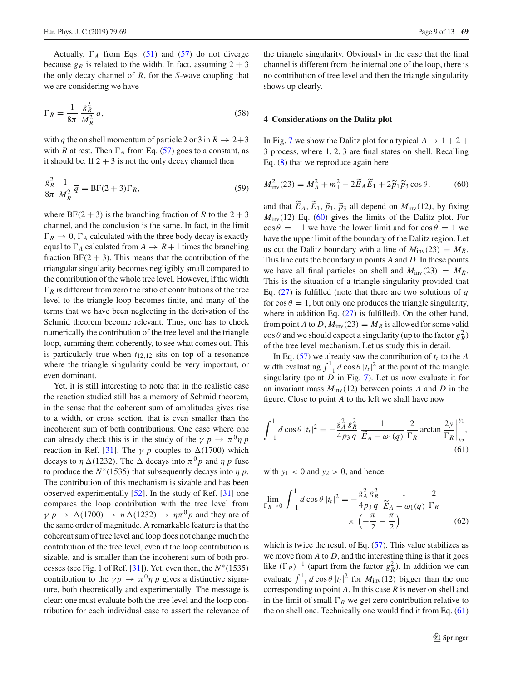Actually,  $\Gamma_A$  from Eqs. [\(51\)](#page-7-0) and [\(57\)](#page-7-2) do not diverge because  $g_R$  is related to the width. In fact, assuming  $2 + 3$ the only decay channel of *R*, for the *S*-wave coupling that we are considering we have

<span id="page-8-2"></span>
$$
\Gamma_R = \frac{1}{8\pi} \frac{g_R^2}{M_R^2} \overline{q},\tag{58}
$$

with  $\overline{q}$  the on shell momentum of particle 2 or 3 in  $R \rightarrow 2+3$ with *R* at rest. Then  $\Gamma_A$  from Eq. [\(57\)](#page-7-2) goes to a constant, as it should be. If  $2 + 3$  is not the only decay channel then

$$
\frac{g_R^2}{8\pi} \frac{1}{M_R^2} \overline{q} = \text{BF}(2+3)\Gamma_R,\tag{59}
$$

where  $BF(2 + 3)$  is the branching fraction of *R* to the  $2 + 3$ channel, and the conclusion is the same. In fact, in the limit  $\Gamma_R \to 0$ ,  $\Gamma_A$  calculated with the three body decay is exactly equal to  $\Gamma_A$  calculated from  $A \to R+1$  times the branching fraction  $BF(2 + 3)$ . This means that the contribution of the triangular singularity becomes negligibly small compared to the contribution of the whole tree level. However, if the width  $\Gamma_R$  is different from zero the ratio of contributions of the tree level to the triangle loop becomes finite, and many of the terms that we have been neglecting in the derivation of the Schmid theorem become relevant. Thus, one has to check numerically the contribution of the tree level and the triangle loop, summing them coherently, to see what comes out. This is particularly true when *t*12,<sup>12</sup> sits on top of a resonance where the triangle singularity could be very important, or even dominant.

Yet, it is still interesting to note that in the realistic case the reaction studied still has a memory of Schmid theorem, in the sense that the coherent sum of amplitudes gives rise to a width, or cross section, that is even smaller than the incoherent sum of both contributions. One case where one can already check this is in the study of the  $\gamma p \to \pi^0 \eta p$ reaction in Ref. [\[31](#page-12-23)]. The  $\gamma$  *p* couples to  $\Delta(1700)$  which decays to  $\eta \Delta(1232)$ . The  $\Delta$  decays into  $\pi^0 p$  and  $\eta p$  fuse to produce the  $N^*(1535)$  that subsequently decays into  $\eta p$ . The contribution of this mechanism is sizable and has been observed experimentally [\[52](#page-12-24)]. In the study of Ref. [\[31\]](#page-12-23) one compares the loop contribution with the tree level from  $\gamma p \to \Delta(1700) \to \eta \Delta(1232) \to \eta \pi^0 p$  and they are of the same order of magnitude. A remarkable feature is that the coherent sum of tree level and loop does not change much the contribution of the tree level, even if the loop contribution is sizable, and is smaller than the incoherent sum of both pro-cesses (see Fig. 1 of Ref. [\[31](#page-12-23)]). Yet, even then, the  $N^*(1535)$ contribution to the  $\gamma p \to \pi^0 \eta p$  gives a distinctive signature, both theoretically and experimentally. The message is clear: one must evaluate both the tree level and the loop contribution for each individual case to assert the relevance of

the triangle singularity. Obviously in the case that the final channel is different from the internal one of the loop, there is no contribution of tree level and then the triangle singularity shows up clearly.

#### **4 Considerations on the Dalitz plot**

In Fig. [7](#page-9-0) we show the Dalitz plot for a typical  $A \rightarrow 1 + 2 +$ 3 process, where 1, 2, 3 are final states on shell. Recalling Eq.  $(8)$  that we reproduce again here

<span id="page-8-0"></span>
$$
M_{\text{inv}}^2(23) = M_A^2 + m_1^2 - 2\widetilde{E}_A \widetilde{E}_1 + 2\widetilde{p}_1 \widetilde{p}_3 \cos \theta, \tag{60}
$$

and that  $E_A$ ,  $E_1$ ,  $\tilde{p}_1$ ,  $\tilde{p}_3$  all depend on  $M_{\text{inv}}(12)$ , by fixing  $M_1$ . (12), Eq. (60), gives the limits of the Dalitz plot. For  $M_{\text{inv}}(12)$  Eq. [\(60\)](#page-8-0) gives the limits of the Dalitz plot. For  $\cos \theta = -1$  we have the lower limit and for  $\cos \theta = 1$  we have the upper limit of the boundary of the Dalitz region. Let us cut the Dalitz boundary with a line of  $M_{\text{inv}}(23) = M_R$ . This line cuts the boundary in points *A* and *D*. In these points we have all final particles on shell and  $M_{\text{inv}}(23) = M_R$ . This is the situation of a triangle singularity provided that Eq. [\(27\)](#page-4-6) is fulfilled (note that there are two solutions of *q* for  $\cos \theta = 1$ , but only one produces the triangle singularity, where in addition Eq. [\(27\)](#page-4-6) is fulfilled). On the other hand, from point *A* to *D*,  $M_{\text{inv}}(23) = M_R$  is allowed for some valid  $\cos \theta$  and we should expect a singularity (up to the factor  $g_R^2$ ) of the tree level mechanism. Let us study this in detail.

In Eq.  $(57)$  we already saw the contribution of  $t_t$  to the *A* width evaluating  $\int_{-1}^{1} d \cos \theta |t_t|^2$  at the point of the triangle singularity (point *D* in Fig. [7\)](#page-9-0). Let us now evaluate it for an invariant mass  $M_{\text{inv}}(12)$  between points *A* and *D* in the figure. Close to point *A* to the left we shall have now

<span id="page-8-1"></span>
$$
\int_{-1}^{1} d\cos\theta \, |t_t|^2 = -\frac{g_A^2 g_R^2}{4p_3 q} \frac{1}{\widetilde{E}_A - \omega_1(q)} \frac{2}{\Gamma_R} \arctan \frac{2y}{\Gamma_R} \Big|_{y_2}^{y_1},\tag{61}
$$

with  $y_1 < 0$  and  $y_2 > 0$ , and hence

$$
\lim_{\Gamma_R \to 0} \int_{-1}^1 d\cos\theta \, |t_t|^2 = -\frac{g_A^2 g_R^2}{4p_3 q} \frac{1}{\widetilde{E}_A - \omega_1(q)} \frac{2}{\Gamma_R} \times \left( -\frac{\pi}{2} - \frac{\pi}{2} \right) \tag{62}
$$

which is twice the result of Eq.  $(57)$ . This value stabilizes as we move from *A* to *D*, and the interesting thing is that it goes like  $(\Gamma_R)^{-1}$  (apart from the factor  $g_R^2$ ). In addition we can evaluate  $\int_{-1}^{1} d \cos \theta |t_t|^2$  for  $M_{\text{inv}}(12)$  bigger than the one corresponding to point *A*. In this case *R* is never on shell and in the limit of small  $\Gamma_R$  we get zero contribution relative to the on shell one. Technically one would find it from Eq. [\(61\)](#page-8-1)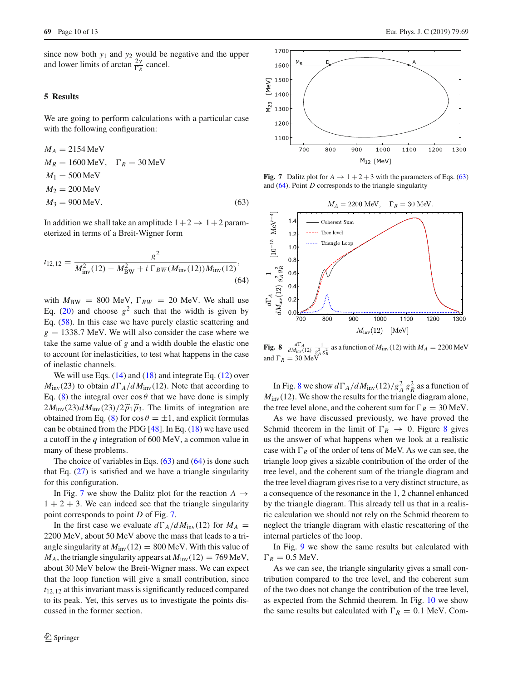since now both *y*<sup>1</sup> and *y*<sup>2</sup> would be negative and the upper and lower limits of arctan  $\frac{2y}{\Gamma_R}$  cancel.

# **5 Results**

We are going to perform calculations with a particular case with the following configuration:

$$
M_A = 2154 \text{ MeV}
$$
  
\n
$$
M_R = 1600 \text{ MeV}, \quad \Gamma_R = 30 \text{ MeV}
$$
  
\n
$$
M_1 = 500 \text{ MeV}
$$
  
\n
$$
M_2 = 200 \text{ MeV}
$$
  
\n
$$
M_3 = 900 \text{ MeV}.
$$
\n(63)

In addition we shall take an amplitude  $1+2 \rightarrow 1+2$  parameterized in terms of a Breit-Wigner form

$$
t_{12,12} = \frac{g^2}{M_{\text{inv}}^2(12) - M_{\text{BW}}^2 + i \Gamma_{BW}(M_{\text{inv}}(12))M_{\text{inv}}(12)},\tag{64}
$$

with  $M_{\text{BW}} = 800 \text{ MeV}$ ,  $\Gamma_{BW} = 20 \text{ MeV}$ . We shall use Eq. [\(20\)](#page-3-4) and choose  $g^2$  such that the width is given by Eq. [\(58\)](#page-8-2). In this case we have purely elastic scattering and  $g = 1338.7$  MeV. We will also consider the case where we take the same value of *g* and a width double the elastic one to account for inelasticities, to test what happens in the case of inelastic channels.

We will use Eqs.  $(14)$  and  $(18)$  and integrate Eq.  $(12)$  over  $M_{\text{inv}}(23)$  to obtain  $d\Gamma_A/dM_{\text{inv}}(12)$ . Note that according to Eq. [\(8\)](#page-2-1) the integral over  $\cos \theta$  that we have done is simply  $2M_{\text{inv}}(23) d M_{\text{inv}}(23)/2 \tilde{p}_1 \tilde{p}_3$ . The limits of integration are obtained from Eq. [\(8\)](#page-2-1) for  $\cos \theta = \pm 1$ , and explicit formulas can be obtained from the PDG [\[48\]](#page-12-18). In Eq. [\(18\)](#page-3-3) we have used a cutoff in the *q* integration of 600 MeV, a common value in many of these problems.

The choice of variables in Eqs.  $(63)$  and  $(64)$  is done such that Eq.  $(27)$  is satisfied and we have a triangle singularity for this configuration.

In Fig. [7](#page-9-0) we show the Dalitz plot for the reaction  $A \rightarrow$  $1 + 2 + 3$ . We can indeed see that the triangle singularity point corresponds to point *D* of Fig. [7.](#page-9-0)

In the first case we evaluate  $d\Gamma_A/dM_{\text{inv}}(12)$  for  $M_A =$ 2200 MeV, about 50 MeV above the mass that leads to a triangle singularity at  $M_{\text{inv}}(12) = 800 \text{ MeV}$ . With this value of  $M_A$ , the triangle singularity appears at  $M_{\text{inv}}(12) = 769 \text{ MeV}$ , about 30 MeV below the Breit-Wigner mass. We can expect that the loop function will give a small contribution, since *t*12,<sup>12</sup> at this invariant mass is significantly reduced compared to its peak. Yet, this serves us to investigate the points discussed in the former section.



<span id="page-9-0"></span>**Fig. 7** Dalitz plot for  $A \rightarrow 1+2+3$  with the parameters of Eqs. [\(63\)](#page-9-1) and [\(64\)](#page-9-2). Point *D* corresponds to the triangle singularity

<span id="page-9-2"></span><span id="page-9-1"></span>

<span id="page-9-3"></span>**Fig. 8**  $\frac{d\Gamma_A}{dM_{\text{inv}}(12)} \frac{1}{g_A^2 g_R^2}$  as a function of  $M_{\text{inv}}(12)$  with  $M_A = 2200 \text{ MeV}$ and  $\Gamma_R = 30$  MeV

In Fig. [8](#page-9-3) we show  $d\Gamma_A/dM_{\text{inv}}(12)/g_A^2 g_R^2$  as a function of  $M_{\text{inv}}(12)$ . We show the results for the triangle diagram alone, the tree level alone, and the coherent sum for  $\Gamma_R = 30$  MeV.

As we have discussed previously, we have proved the Schmid theorem in the limit of  $\Gamma_R \rightarrow 0$ . Figure [8](#page-9-3) gives us the answer of what happens when we look at a realistic case with  $\Gamma_R$  of the order of tens of MeV. As we can see, the triangle loop gives a sizable contribution of the order of the tree level, and the coherent sum of the triangle diagram and the tree level diagram gives rise to a very distinct structure, as a consequence of the resonance in the 1, 2 channel enhanced by the triangle diagram. This already tell us that in a realistic calculation we should not rely on the Schmid theorem to neglect the triangle diagram with elastic rescattering of the internal particles of the loop.

In Fig. [9](#page-10-0) we show the same results but calculated with  $\Gamma_R = 0.5$  MeV.

As we can see, the triangle singularity gives a small contribution compared to the tree level, and the coherent sum of the two does not change the contribution of the tree level, as expected from the Schmid theorem. In Fig. [10](#page-10-1) we show the same results but calculated with  $\Gamma_R = 0.1$  MeV. Com-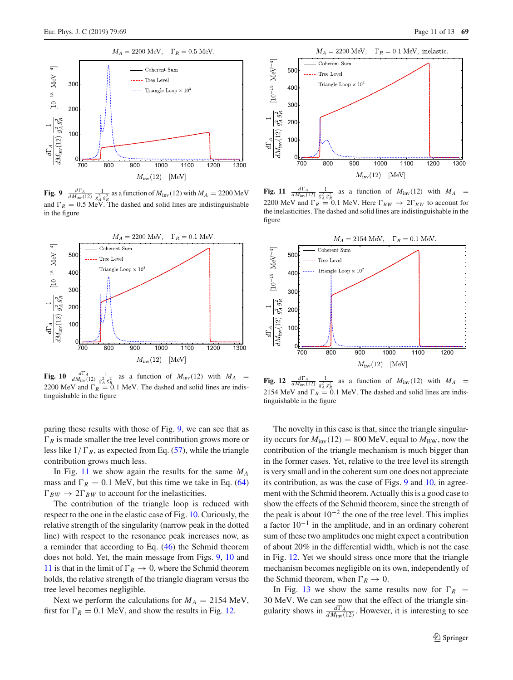

<span id="page-10-0"></span>**Fig. 9**  $\frac{d\Gamma_A}{dM_{\text{inv}}(12)} \frac{1}{g_A^2 g_R^2}$  as a function of  $M_{\text{inv}}(12)$  with  $M_A = 2200 \text{ MeV}$ and  $\Gamma_R = 0.5$  MeV. The dashed and solid lines are indistinguishable in the figure



<span id="page-10-1"></span>**Fig. 10**  $\frac{d\Gamma_A}{dM_{\text{inv}}(12)} \frac{1}{g_A^2 g_R^2}$  as a function of  $M_{\text{inv}}(12)$  with  $M_A =$ 2200 MeV and  $\Gamma_R = 0.1$  MeV. The dashed and solid lines are indistinguishable in the figure

paring these results with those of Fig. [9,](#page-10-0) we can see that as  $\Gamma_R$  is made smaller the tree level contribution grows more or less like  $1/\Gamma_R$ , as expected from Eq. [\(57\)](#page-7-2), while the triangle contribution grows much less.

In Fig. [11](#page-10-2) we show again the results for the same *MA* mass and  $\Gamma_R = 0.1$  MeV, but this time we take in Eq. [\(64\)](#page-9-2)  $\Gamma_{BW} \rightarrow 2\Gamma_{BW}$  to account for the inelasticities.

The contribution of the triangle loop is reduced with respect to the one in the elastic case of Fig. [10.](#page-10-1) Curiously, the relative strength of the singularity (narrow peak in the dotted line) with respect to the resonance peak increases now, as a reminder that according to Eq. [\(46\)](#page-6-2) the Schmid theorem does not hold. Yet, the main message from Figs. [9,](#page-10-0) [10](#page-10-1) and [11](#page-10-2) is that in the limit of  $\Gamma_R \to 0$ , where the Schmid theorem holds, the relative strength of the triangle diagram versus the tree level becomes negligible.

Next we perform the calculations for  $M_A = 2154$  MeV, first for  $\Gamma_R = 0.1$  MeV, and show the results in Fig. [12.](#page-10-3)



<span id="page-10-2"></span>**Fig. 11**  $\frac{d\Gamma_A}{dM_{\text{inv}}(12)} \frac{1}{g_A^2 g_R^2}$  as a function of  $M_{\text{inv}}(12)$  with  $M_A =$ 2200 MeV and  $\Gamma_R = 0.1$  MeV. Here  $\Gamma_{BW} \to 2\Gamma_{BW}$  to account for the inelasticities. The dashed and solid lines are indistinguishable in the figure



<span id="page-10-3"></span>**Fig. 12**  $\frac{d\Gamma_A}{dM_{\text{inv}}(12)} \frac{1}{g_A^2 g_R^2}$  as a function of  $M_{\text{inv}}(12)$  with  $M_A$ 2154 MeV and  $\Gamma_R = 0.1$  MeV. The dashed and solid lines are indistinguishable in the figure

The novelty in this case is that, since the triangle singularity occurs for  $M_{\text{inv}}(12) = 800 \text{ MeV}$ , equal to  $M_{\text{BW}}$ , now the contribution of the triangle mechanism is much bigger than in the former cases. Yet, relative to the tree level its strength is very small and in the coherent sum one does not appreciate its contribution, as was the case of Figs. [9](#page-10-0) and [10,](#page-10-1) in agreement with the Schmid theorem. Actually this is a good case to show the effects of the Schmid theorem, since the strength of the peak is about  $10^{-2}$  the one of the tree level. This implies a factor  $10^{-1}$  in the amplitude, and in an ordinary coherent sum of these two amplitudes one might expect a contribution of about 20% in the differential width, which is not the case in Fig. [12.](#page-10-3) Yet we should stress once more that the triangle mechanism becomes negligible on its own, independently of the Schmid theorem, when  $\Gamma_R \to 0$ .

In Fig. [13](#page-11-4) we show the same results now for  $\Gamma_R$  = 30 MeV. We can see now that the effect of the triangle singularity shows in  $\frac{d\Gamma_A}{dM_{\text{inv}}(12)}$ . However, it is interesting to see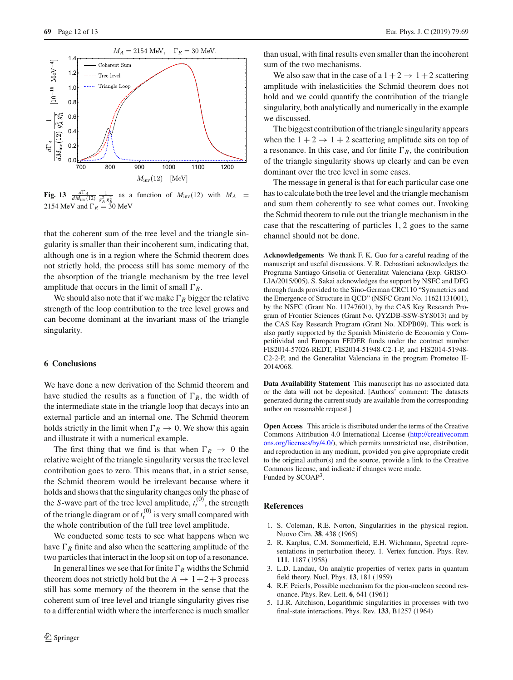

<span id="page-11-4"></span>**Fig. 13**  $\frac{d\Gamma_A}{dM_{\text{inv}}(12)} \frac{1}{g_A^2 g_R^2}$  as a function of  $M_{\text{inv}}(12)$  with  $M_A =$ 2154 MeV and  $\Gamma_R = 30$  MeV

that the coherent sum of the tree level and the triangle singularity is smaller than their incoherent sum, indicating that, although one is in a region where the Schmid theorem does not strictly hold, the process still has some memory of the the absorption of the triangle mechanism by the tree level amplitude that occurs in the limit of small  $\Gamma_R$ .

We should also note that if we make  $\Gamma_R$  bigger the relative strength of the loop contribution to the tree level grows and can become dominant at the invariant mass of the triangle singularity.

# **6 Conclusions**

We have done a new derivation of the Schmid theorem and have studied the results as a function of  $\Gamma_R$ , the width of the intermediate state in the triangle loop that decays into an external particle and an internal one. The Schmid theorem holds strictly in the limit when  $\Gamma_R \to 0$ . We show this again and illustrate it with a numerical example.

The first thing that we find is that when  $\Gamma_R \rightarrow 0$  the relative weight of the triangle singularity versus the tree level contribution goes to zero. This means that, in a strict sense, the Schmid theorem would be irrelevant because where it holds and shows that the singularity changes only the phase of the *S*-wave part of the tree level amplitude,  $t_t^{(0)}$ , the strength of the triangle diagram or of  $t_t^{(0)}$  is very small compared with the whole contribution of the full tree level amplitude.

We conducted some tests to see what happens when we have  $\Gamma_R$  finite and also when the scattering amplitude of the two particles that interact in the loop sit on top of a resonance.

In general lines we see that for finite  $\Gamma_R$  widths the Schmid theorem does not strictly hold but the  $A \rightarrow 1+2+3$  process still has some memory of the theorem in the sense that the coherent sum of tree level and triangle singularity gives rise to a differential width where the interference is much smaller

than usual, with final results even smaller than the incoherent sum of the two mechanisms.

We also saw that in the case of a  $1+2 \rightarrow 1+2$  scattering amplitude with inelasticities the Schmid theorem does not hold and we could quantify the contribution of the triangle singularity, both analytically and numerically in the example we discussed.

The biggest contribution of the triangle singularity appears when the  $1 + 2 \rightarrow 1 + 2$  scattering amplitude sits on top of a resonance. In this case, and for finite  $\Gamma_R$ , the contribution of the triangle singularity shows up clearly and can be even dominant over the tree level in some cases.

The message in general is that for each particular case one has to calculate both the tree level and the triangle mechanism and sum them coherently to see what comes out. Invoking the Schmid theorem to rule out the triangle mechanism in the case that the rescattering of particles 1, 2 goes to the same channel should not be done.

**Acknowledgements** We thank F. K. Guo for a careful reading of the manuscript and useful discussions. V. R. Debastiani acknowledges the Programa Santiago Grisolia of Generalitat Valenciana (Exp. GRISO-LIA/2015/005). S. Sakai acknowledges the support by NSFC and DFG through funds provided to the Sino-German CRC110 "Symmetries and the Emergence of Structure in QCD" (NSFC Grant No. 11621131001), by the NSFC (Grant No. 11747601), by the CAS Key Research Program of Frontier Sciences (Grant No. QYZDB-SSW-SYS013) and by the CAS Key Research Program (Grant No. XDPB09). This work is also partly supported by the Spanish Ministerio de Economia y Competitividad and European FEDER funds under the contract number FIS2014-57026-REDT, FIS2014-51948-C2-1-P, and FIS2014-51948- C2-2-P, and the Generalitat Valenciana in the program Prometeo II-2014/068.

**Data Availability Statement** This manuscript has no associated data or the data will not be deposited. [Authors' comment: The datasets generated during the current study are available from the corresponding author on reasonable request.]

**Open Access** This article is distributed under the terms of the Creative Commons Attribution 4.0 International License [\(http://creativecomm](http://creativecommons.org/licenses/by/4.0/) [ons.org/licenses/by/4.0/\)](http://creativecommons.org/licenses/by/4.0/), which permits unrestricted use, distribution, and reproduction in any medium, provided you give appropriate credit to the original author(s) and the source, provide a link to the Creative Commons license, and indicate if changes were made. Funded by SCOAP<sup>3</sup>.

#### **References**

- <span id="page-11-0"></span>1. S. Coleman, R.E. Norton, Singularities in the physical region. Nuovo Cim. **38**, 438 (1965)
- <span id="page-11-1"></span>2. R. Karplus, C.M. Sommerfield, E.H. Wichmann, Spectral representations in perturbation theory. 1. Vertex function. Phys. Rev. **111**, 1187 (1958)
- <span id="page-11-2"></span>3. L.D. Landau, On analytic properties of vertex parts in quantum field theory. Nucl. Phys. **13**, 181 (1959)
- <span id="page-11-3"></span>4. R.F. Peierls, Possible mechanism for the pion-nucleon second resonance. Phys. Rev. Lett. **6**, 641 (1961)
- 5. I.J.R. Aitchison, Logarithmic singularities in processes with two final-state interactions. Phys. Rev. **133**, B1257 (1964)